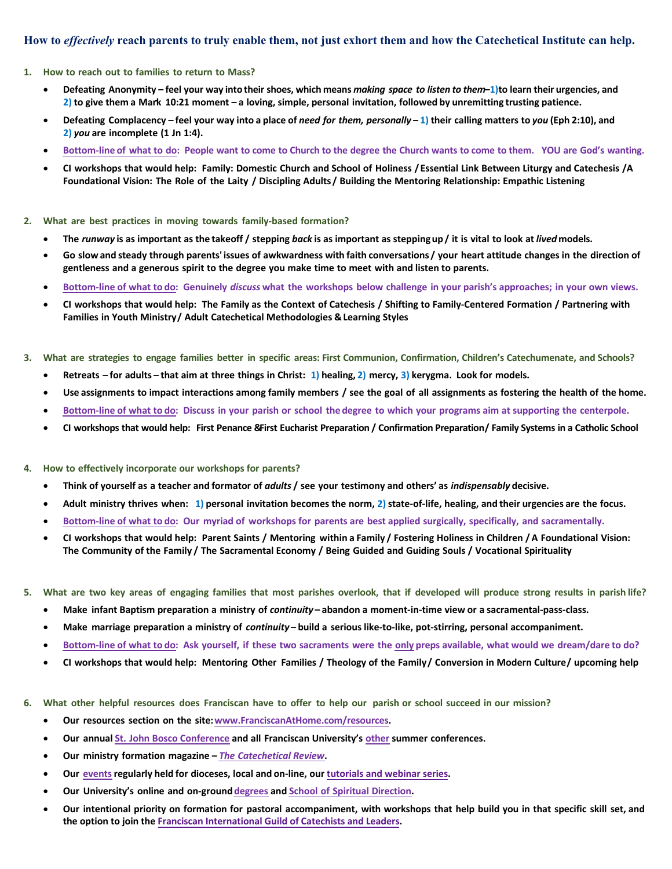#### **How to** *effectively* **reach parents to truly enable them, not just exhort them and how the Catechetical Institute can help.**

#### **1. How to reach out to families to return to Mass?**

- Defeating Anonymity feel your way into their shoes, which means making space to listen to them-1) to learn their urgencies, and 2) to give them a Mark 10:21 moment  $-$  a loving, simple, personal invitation, followed by unremitting trusting patience.
- Defeating Complacency feel your way into a place of need for them, personally  $-1$ ) their calling matters to you (Eph 2:10), and **2)** *you* **are incomplete (1 Jn 1:4).**
- Bottom-line of what to do: People want to come to Church to the degree the Church wants to come to them. YOU are God's wanting.
- CI workshops that would help: Family: Domestic Church and School of Holiness / Essential Link Between Liturgy and Catechesis /A Foundational Vision: The Role of the Laity / Discipling Adults / Building the Mentoring Relationship: Empathic Listening
- **2. What are best practices in moving towards family-based formation?**
	- The runway is as important as the takeoff / stepping back is as important as stepping up / it is vital to look at lived models.
	- Go slow and steady through parents' issues of awkwardness with faith conversations / your heart attitude changes in the direction of **gentleness and a generous spirit to the degree you make time to meet with and listen to parents.**
	- Bottom-line of what to do: Genuinely discuss what the workshops below challenge in your parish's approaches; in your own views.
	- CI workshops that would help: The Family as the Context of Catechesis / Shifting to Family-Centered Formation / Partnering with **Families in Youth Ministry/ Adult Catechetical Methodologies & Learning Styles**
- 3. What are strategies to engage families better in specific areas: First Communion, Confirmation, Children's Catechumenate, and Schools?
	- Retreats for adults that aim at three things in Christ: 1) healing, 2) mercy, 3) kerygma. Look for models.
	- Use assignments to impact interactions among family members / see the goal of all assignments as fostering the health of the home.
	- Bottom-line of what to do: Discuss in your parish or school the degree to which your programs aim at supporting the centerpole.
	- CI workshops that would help: First Penance &First Eucharist Preparation / Confirmation Preparation / Family Systems in a Catholic School
- **4. How to effectively incorporate our workshops for parents?**
	- **Think of yourself as a teacher and formator of** *adults* **/ see your testimony and others' as** *indispensably* **decisive.**
	- Adult ministry thrives when: 1) personal invitation becomes the norm, 2) state-of-life, healing, and their urgencies are the focus.
	- **Bottom-line of what to do: Our myriad of workshops for parents are best applied surgically, specifically, and sacramentally.**
	- CI workshops that would help: Parent Saints / Mentoring within a Family / Fostering Holiness in Children / A Foundational Vision: **The Community of the Family / The Sacramental Economy / Being Guided and Guiding Souls / Vocational Spirituality**
- 5. What are two key areas of engaging families that most parishes overlook, that if developed will produce strong results in parish life?
	- **Make infant Baptism preparation a ministry of** *continuity*  **abandon a moment-in-time view or a sacramental-pass-class.**
	- **Make marriage preparation a ministry of** *continuity*  **build a serious like-to-like, pot-stirring, personal accompaniment.**
	- Bottom-line of what to do: Ask yourself, if these two sacraments were the only preps available, what would we dream/dare to do?
	- CI workshops that would help: Mentoring Other Families / Theology of the Family/ Conversion in Modern Culture/ upcoming help
- 6. What other helpful resources does Franciscan have to offer to help our parish or school succeed in our mission?
	- **Our resources section on the site:<www.FranciscanAtHome.com/resources>.**
	- **Our annual St. John [Bosco Conference](https://steubenvilleconferences.com/events/sjb/) and all Franciscan University's [other](https://steubenvilleconferences.com/) summer conferences.**
	- **Our ministry formation magazine** *The [Catechetical Review](https://review.catechetics.com/)***.**
	- **Our [events](https://franciscanathome.com/about)regularly held for dioceses, local and on-line, our [tutorials and webinar series](https://franciscanathome.com/tutorials-and-pdfs).**
	- **Our University's online and on-ground[degrees](https://franciscan.edu/programs-list/) and School of Spiritual [Direction.](https://institutes.franciscan.edu/school-spiritual-direction/)**
	- Our intentional priority on formation for pastoral accompaniment, with workshops that help build you in that specific skill set, and **the option to join the [Franciscan International Guild of Catechists and Leaders](https://franciscanathome.com/guild).**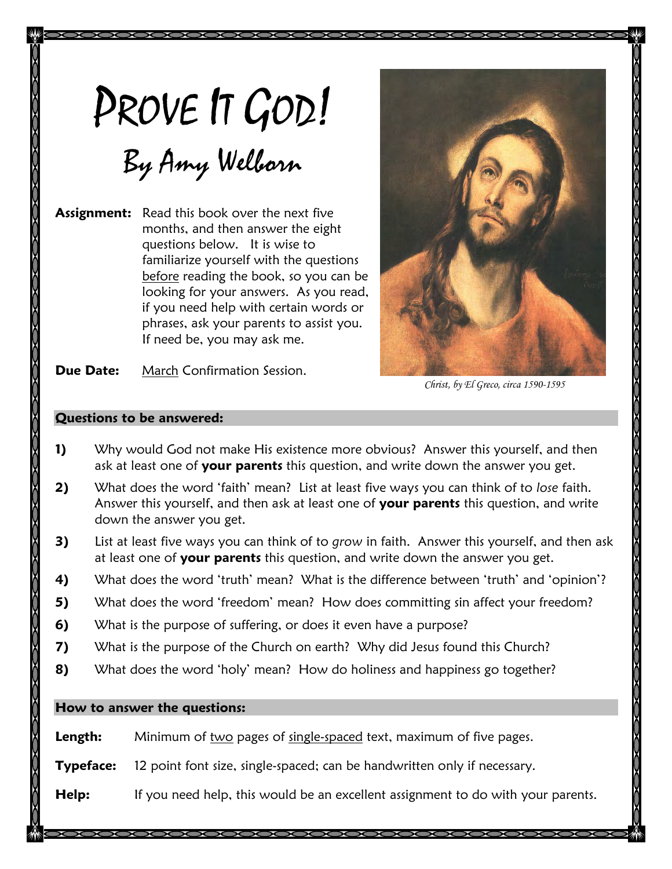# PROVE IT GOD!

# By Amy Welborn

**Assignment:** Read this book over the next five months, and then answer the eight questions below. It is wise to familiarize yourself with the questions before reading the book, so you can be looking for your answers. As you read, if you need help with certain words or phrases, ask your parents to assist you. If need be, you may ask me.



**Due Date:** March Confirmation Session.

Christ, by El Greco, circa 1590-1595

#### **Questions to be answered:**

- **1)** Why would God not make His existence more obvious? Answer this yourself, and then ask at least one of **your parents** this question, and write down the answer you get.
- **2)** What does the word 'faith' mean? List at least five ways you can think of to *lose* faith. Answer this yourself, and then ask at least one of **your parents** this question, and write down the answer you get.
- **3)** List at least five ways you can think of to *grow* in faith. Answer this yourself, and then ask at least one of **your parents** this question, and write down the answer you get.
- **4)** What does the word 'truth' mean? What is the difference between 'truth' and 'opinion'?
- **5)** What does the word 'freedom' mean? How does committing sin affect your freedom?
- **6)** What is the purpose of suffering, or does it even have a purpose?
- **7)** What is the purpose of the Church on earth? Why did Jesus found this Church?
- **8)** What does the word 'holy' mean? How do holiness and happiness go together?

#### **How to answer the questions:**

**Length:** Minimum of two pages of single-spaced text, maximum of five pages.

**Typeface:** 12 point font size, single-spaced; can be handwritten only if necessary.

**Help:** If you need help, this would be an excellent assignment to do with your parents.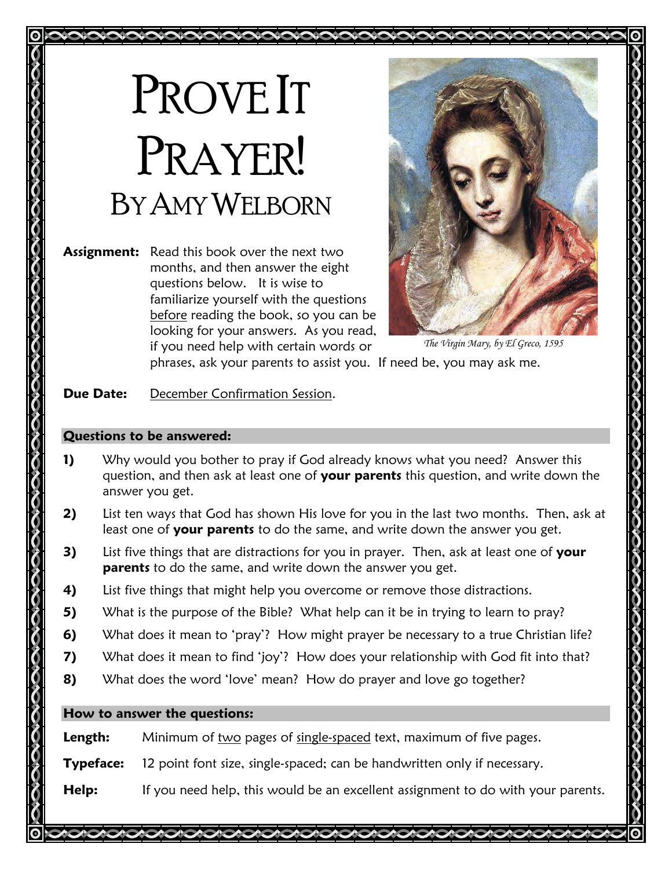# PROVE IT PRAYER! BY AMY WELBORN

**Assignment:** Read this book over the next two months, and then answer the eight questions below. It is wise to familiarize yourself with the questions before reading the book, so you can be looking for your answers. As you read, if you need help with certain words or



*The Virgin Mary, by El Greco, 1595*

phrases, ask your parents to assist you. If need be, you may ask me.

## **Due Date:** December Confirmation Session.

### **Questions to be answered:**

- **1)** Why would you bother to pray if God already knows what you need? Answer this question, and then ask at least one of **your parents** this question, and write down the answer you get.
- **2)** List ten ways that God has shown His love for you in the last two months. Then, ask at least one of **your parents** to do the same, and write down the answer you get.
- **3)** List five things that are distractions for you in prayer. Then, ask at least one of **your parents** to do the same, and write down the answer you get.
- **4)** List five things that might help you overcome or remove those distractions.
- **5)** What is the purpose of the Bible? What help can it be in trying to learn to pray?
- **6)** What does it mean to 'pray'? How might prayer be necessary to a true Christian life?
- **7)** What does it mean to find 'joy'? How does your relationship with God fit into that?
- **8)** What does the word 'love' mean? How do prayer and love go together?

## **How to answer the questions:**

**Length:** Minimum of two pages of single-spaced text, maximum of five pages.

**Typeface:** 12 point font size, single-spaced; can be handwritten only if necessary.

**Help:** If you need help, this would be an excellent assignment to do with your parents.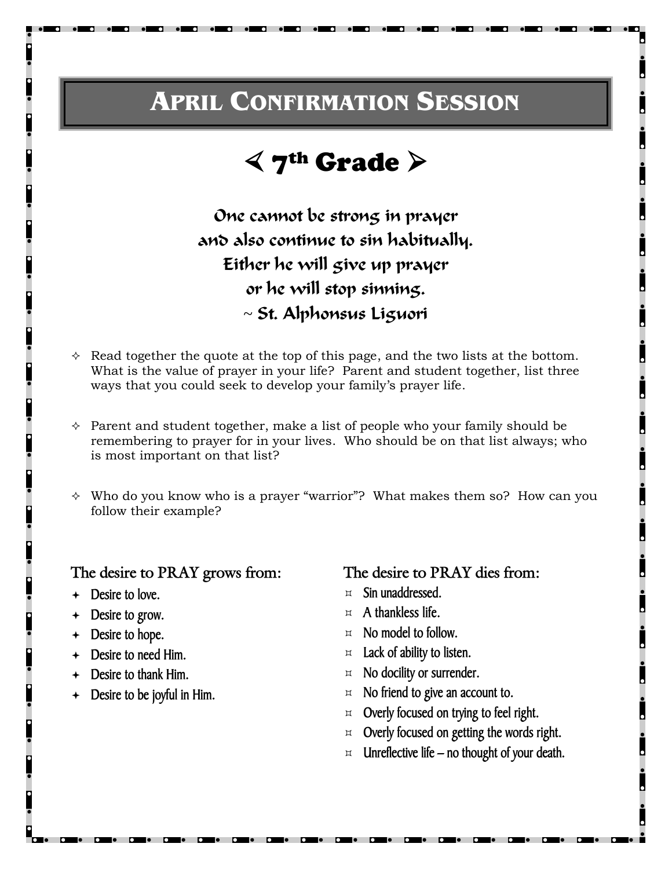# **APRIL CONFIRMATION SESSION**

# $\leq$  7<sup>th</sup> Grade  $\geq$

One cannot be strong in prayer and also continue to sin habitually. Either he will give up prayer or he will stop sinning. ~ St. Alphonsus Liguori

- $\Diamond$  Read together the quote at the top of this page, and the two lists at the bottom. What is the value of prayer in your life? Parent and student together, list three ways that you could seek to develop your family's prayer life.
- $\Diamond$  Parent and student together, make a list of people who your family should be remembering to prayer for in your lives. Who should be on that list always; who is most important on that list?
- $\Diamond$  Who do you know who is a prayer "warrior"? What makes them so? How can you follow their example?

### **The desire to PRAY grows from:**

- **Desire to love.**
- **Desire to grow.**
- **Desire to hope.**
- **Desire to need Him.**
- **Desire to thank Him.**
- **Desire to be joyful in Him.**

**The desire to PRAY dies from:** 

- **Sin unaddressed.**
- **A thankless life.**
- **No model to follow.**
- **Lack of ability to listen.**
- **No docility or surrender.**
- **No friend to give an account to.**
- **Overly focused on trying to feel right.**
- **Overly focused on getting the words right.**
- **Unreflective life – no thought of your death.**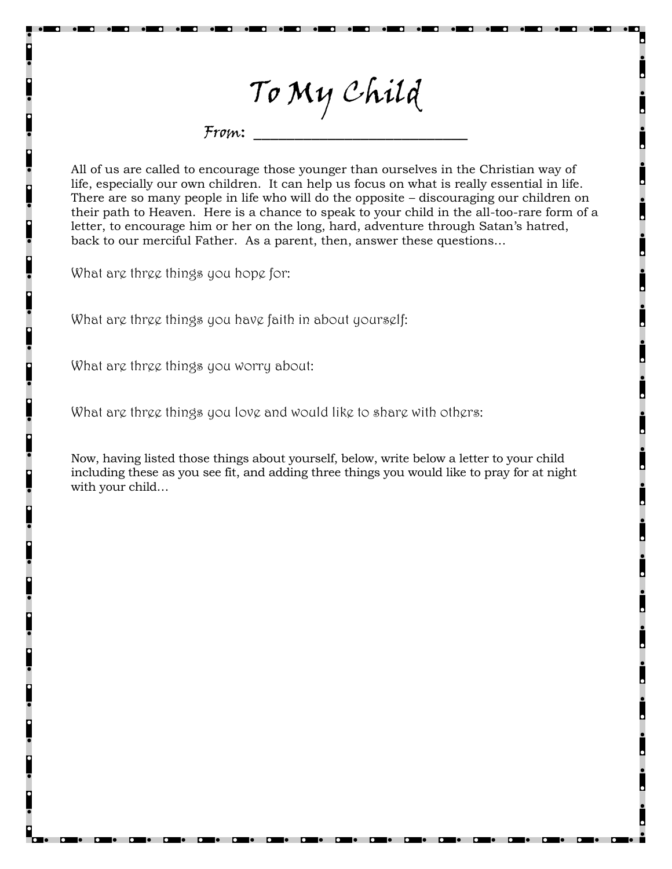To My Child

From: \_\_\_\_\_\_\_\_\_\_\_\_\_\_\_\_\_\_\_\_\_\_\_\_\_\_

All of us are called to encourage those younger than ourselves in the Christian way of life, especially our own children. It can help us focus on what is really essential in life. There are so many people in life who will do the opposite – discouraging our children on their path to Heaven. Here is a chance to speak to your child in the all-too-rare form of a letter, to encourage him or her on the long, hard, adventure through Satan's hatred, back to our merciful Father. As a parent, then, answer these questions…

What are three things you hope for:

What are three things you have faith in about yourself:

What are three things you worry about:

What are three things you love and would like to share with others:

Now, having listed those things about yourself, below, write below a letter to your child including these as you see fit, and adding three things you would like to pray for at night with your child…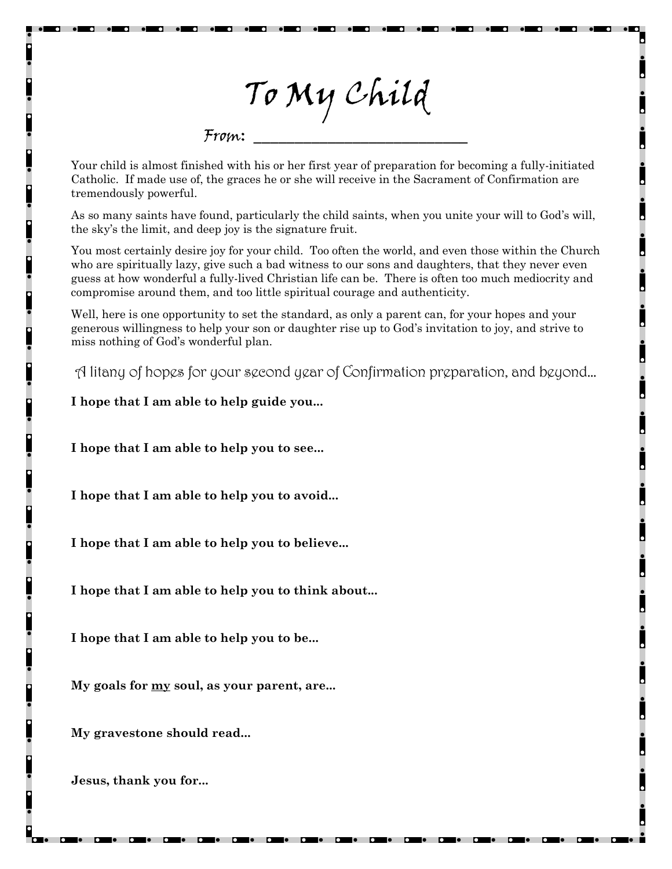To My Child

 $From:$ 

Your child is almost finished with his or her first year of preparation for becoming a fully-initiated Catholic. If made use of, the graces he or she will receive in the Sacrament of Confirmation are tremendously powerful.

As so many saints have found, particularly the child saints, when you unite your will to God's will, the sky's the limit, and deep joy is the signature fruit.

You most certainly desire joy for your child. Too often the world, and even those within the Church who are spiritually lazy, give such a bad witness to our sons and daughters, that they never even guess at how wonderful a fully-lived Christian life can be. There is often too much mediocrity and compromise around them, and too little spiritual courage and authenticity.

Well, here is one opportunity to set the standard, as only a parent can, for your hopes and your generous willingness to help your son or daughter rise up to God's invitation to joy, and strive to miss nothing of God's wonderful plan.

A litany of hopes for your second year of Confirmation preparation, and beyond…

**I hope that I am able to help guide you...**

**I hope that I am able to help you to see...** 

**I hope that I am able to help you to avoid...** 

**I hope that I am able to help you to believe...** 

**I hope that I am able to help you to think about...** 

**I hope that I am able to help you to be...** 

**My goals for my soul, as your parent, are...** 

**My gravestone should read...** 

**Jesus, thank you for...**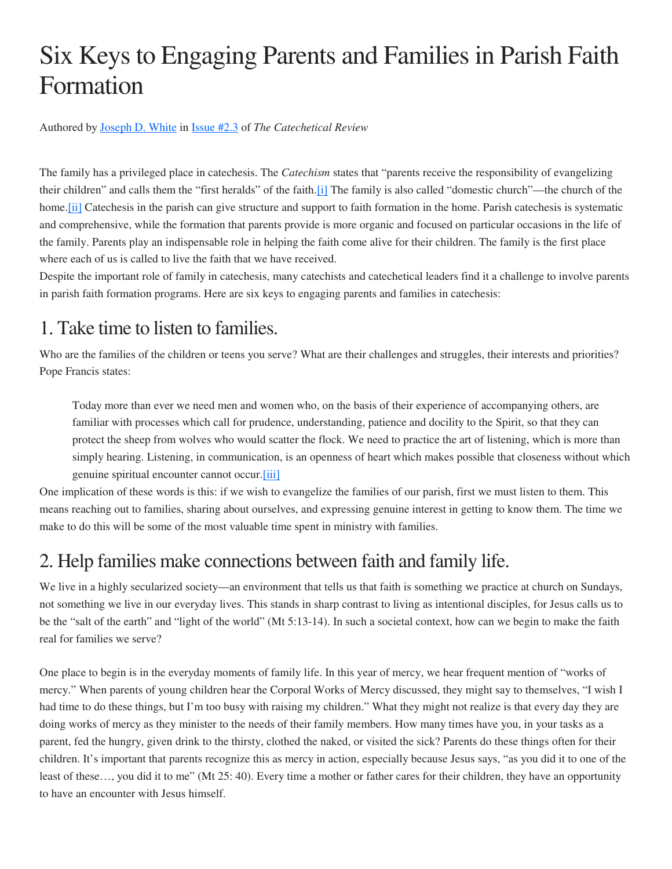# Six Keys to Engaging Parents and Families in Parish Faith Formation

Authored by Joseph D. White in Issue #2.3 of *The Catechetical Review*

The family has a privileged place in catechesis. The *Catechism* states that "parents receive the responsibility of evangelizing their children" and calls them the "first heralds" of the faith.[i] The family is also called "domestic church"—the church of the home. [ii] Catechesis in the parish can give structure and support to faith formation in the home. Parish catechesis is systematic and comprehensive, while the formation that parents provide is more organic and focused on particular occasions in the life of the family. Parents play an indispensable role in helping the faith come alive for their children. The family is the first place where each of us is called to live the faith that we have received.

Despite the important role of family in catechesis, many catechists and catechetical leaders find it a challenge to involve parents in parish faith formation programs. Here are six keys to engaging parents and families in catechesis:

## 1. Take time to listen to families.

Who are the families of the children or teens you serve? What are their challenges and struggles, their interests and priorities? Pope Francis states:

Today more than ever we need men and women who, on the basis of their experience of accompanying others, are familiar with processes which call for prudence, understanding, patience and docility to the Spirit, so that they can protect the sheep from wolves who would scatter the flock. We need to practice the art of listening, which is more than simply hearing. Listening, in communication, is an openness of heart which makes possible that closeness without which genuine spiritual encounter cannot occur.[iii]

One implication of these words is this: if we wish to evangelize the families of our parish, first we must listen to them. This means reaching out to families, sharing about ourselves, and expressing genuine interest in getting to know them. The time we make to do this will be some of the most valuable time spent in ministry with families.

## 2. Help families make connections between faith and family life.

We live in a highly secularized society—an environment that tells us that faith is something we practice at church on Sundays, not something we live in our everyday lives. This stands in sharp contrast to living as intentional disciples, for Jesus calls us to be the "salt of the earth" and "light of the world" (Mt 5:13-14). In such a societal context, how can we begin to make the faith real for families we serve?

One place to begin is in the everyday moments of family life. In this year of mercy, we hear frequent mention of "works of mercy." When parents of young children hear the Corporal Works of Mercy discussed, they might say to themselves, "I wish I had time to do these things, but I'm too busy with raising my children." What they might not realize is that every day they are doing works of mercy as they minister to the needs of their family members. How many times have you, in your tasks as a parent, fed the hungry, given drink to the thirsty, clothed the naked, or visited the sick? Parents do these things often for their children. It's important that parents recognize this as mercy in action, especially because Jesus says, "as you did it to one of the least of these…, you did it to me" (Mt 25: 40). Every time a mother or father cares for their children, they have an opportunity to have an encounter with Jesus himself.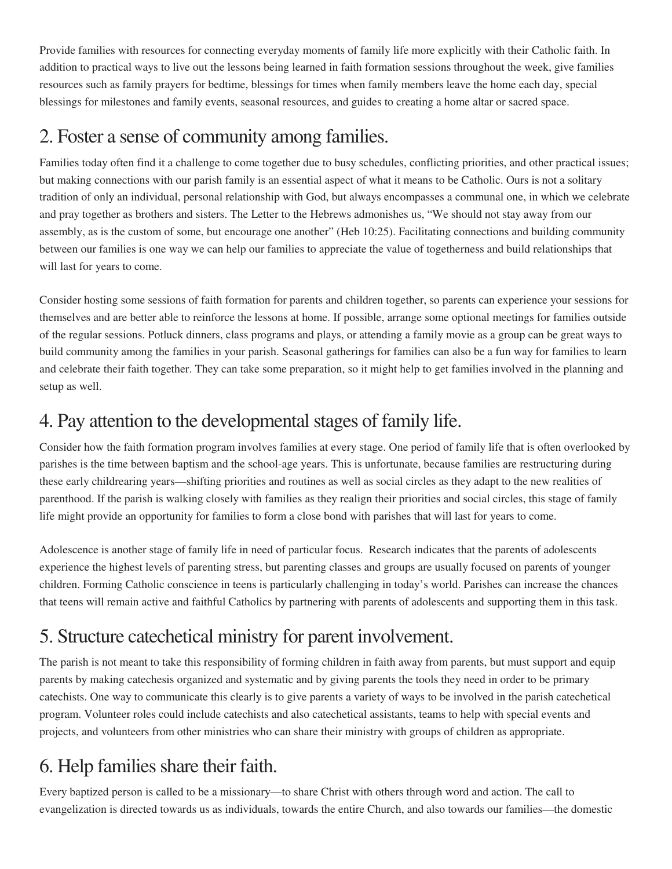Provide families with resources for connecting everyday moments of family life more explicitly with their Catholic faith. In addition to practical ways to live out the lessons being learned in faith formation sessions throughout the week, give families resources such as family prayers for bedtime, blessings for times when family members leave the home each day, special blessings for milestones and family events, seasonal resources, and guides to creating a home altar or sacred space.

## 2. Foster a sense of community among families.

Families today often find it a challenge to come together due to busy schedules, conflicting priorities, and other practical issues; but making connections with our parish family is an essential aspect of what it means to be Catholic. Ours is not a solitary tradition of only an individual, personal relationship with God, but always encompasses a communal one, in which we celebrate and pray together as brothers and sisters. The Letter to the Hebrews admonishes us, "We should not stay away from our assembly, as is the custom of some, but encourage one another" (Heb 10:25). Facilitating connections and building community between our families is one way we can help our families to appreciate the value of togetherness and build relationships that will last for years to come.

Consider hosting some sessions of faith formation for parents and children together, so parents can experience your sessions for themselves and are better able to reinforce the lessons at home. If possible, arrange some optional meetings for families outside of the regular sessions. Potluck dinners, class programs and plays, or attending a family movie as a group can be great ways to build community among the families in your parish. Seasonal gatherings for families can also be a fun way for families to learn and celebrate their faith together. They can take some preparation, so it might help to get families involved in the planning and setup as well.

## 4. Pay attention to the developmental stages of family life.

Consider how the faith formation program involves families at every stage. One period of family life that is often overlooked by parishes is the time between baptism and the school-age years. This is unfortunate, because families are restructuring during these early childrearing years—shifting priorities and routines as well as social circles as they adapt to the new realities of parenthood. If the parish is walking closely with families as they realign their priorities and social circles, this stage of family life might provide an opportunity for families to form a close bond with parishes that will last for years to come.

Adolescence is another stage of family life in need of particular focus. Research indicates that the parents of adolescents experience the highest levels of parenting stress, but parenting classes and groups are usually focused on parents of younger children. Forming Catholic conscience in teens is particularly challenging in today's world. Parishes can increase the chances that teens will remain active and faithful Catholics by partnering with parents of adolescents and supporting them in this task.

## 5. Structure catechetical ministry for parent involvement.

The parish is not meant to take this responsibility of forming children in faith away from parents, but must support and equip parents by making catechesis organized and systematic and by giving parents the tools they need in order to be primary catechists. One way to communicate this clearly is to give parents a variety of ways to be involved in the parish catechetical program. Volunteer roles could include catechists and also catechetical assistants, teams to help with special events and projects, and volunteers from other ministries who can share their ministry with groups of children as appropriate.

## 6. Help families share their faith.

Every baptized person is called to be a missionary—to share Christ with others through word and action. The call to evangelization is directed towards us as individuals, towards the entire Church, and also towards our families—the domestic